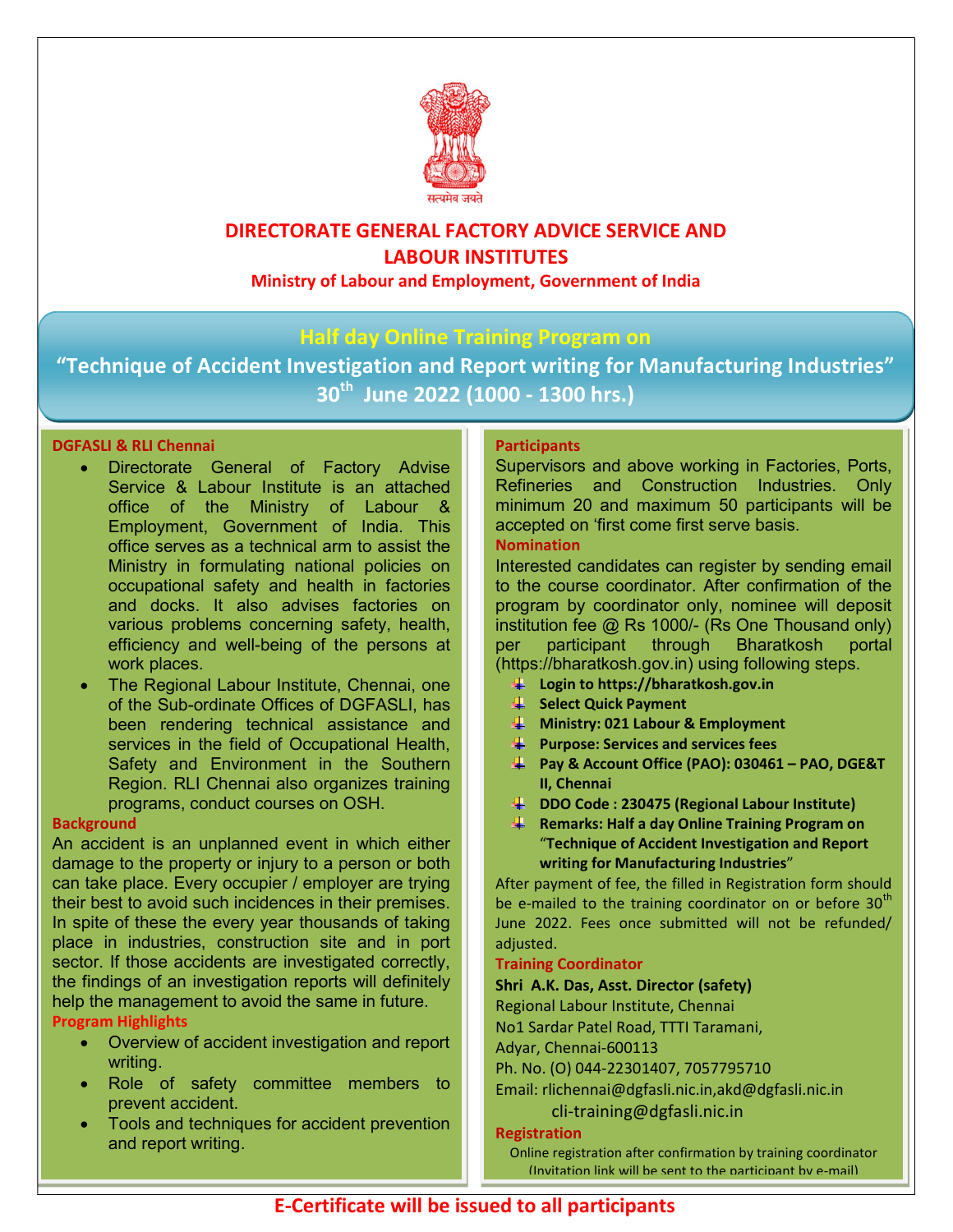

# DIRECTORATE GENERAL FACTORY ADVICE SERVICE AND LABOUR INSTITUTES

Ministry of Labour and Employment, Government of India

## Half day Online Training Program on

"Technique of Accident Investigation and Report writing for Manufacturing Industries" 30<sup>th</sup> June 2022 (1000 - 1300 hrs.)

## DGFASLI & RLI Chennai

- Directorate General of Factory Advise Service & Labour Institute is an attached office of the Ministry of Labour & Employment, Government of India. This office serves as a technical arm to assist the Ministry in formulating national policies on occupational safety and health in factories and docks. It also advises factories on various problems concerning safety, health, efficiency and well-being of the persons at work places.
- The Regional Labour Institute, Chennai, one of the Sub-ordinate Offices of DGFASLI, has been rendering technical assistance and services in the field of Occupational Health, Safety and Environment in the Southern Region. RLI Chennai also organizes training programs, conduct courses on OSH.

#### **Background**

An accident is an unplanned event in which either damage to the property or injury to a person or both can take place. Every occupier / employer are trying their best to avoid such incidences in their premises. In spite of these the every year thousands of taking place in industries, construction site and in port sector. If those accidents are investigated correctly, the findings of an investigation reports will definitely help the management to avoid the same in future.

## Program Highlights

- Overview of accident investigation and report writing.
- Role of safety committee members to prevent accident.
- Tools and techniques for accident prevention and report writing.

### **Participants**

Supervisors and above working in Factories, Ports, Refineries and Construction Industries. Only minimum 20 and maximum 50 participants will be accepted on 'first come first serve basis.

#### Nomination

Interested candidates can register by sending email to the course coordinator. After confirmation of the program by coordinator only, nominee will deposit institution fee @ Rs 1000/- (Rs One Thousand only) per participant through Bharatkosh portal (https://bharatkosh.gov.in) using following steps.

- Login to https://bharatkosh.gov.in
- Select Quick Payment
- $\frac{1}{2}$  Ministry: 021 Labour & Employment
- $\overline{\mathbf{P}}$  Purpose: Services and services fees
- Pay & Account Office (PAO): 030461 PAO, DGE&T II, Chennai
- DDO Code : 230475 (Regional Labour Institute)
- **Remarks: Half a day Online Training Program on** "Technique of Accident Investigation and Report writing for Manufacturing Industries"

After payment of fee, the filled in Registration form should be e-mailed to the training coordinator on or before 30<sup>th</sup> June 2022. Fees once submitted will not be refunded/ adjusted.

#### Training Coordinator

#### Shri A.K. Das, Asst. Director (safety)

Regional Labour Institute, Chennai

No1 Sardar Patel Road, TTTI Taramani,

Adyar, Chennai-600113

Ph. No. (O) 044-22301407, 7057795710

Email: rlichennai@dgfasli.nic.in,akd@dgfasli.nic.in cli-training@dgfasli.nic.in

#### Registration

Online registration after confirmation by training coordinator (Invitation link will be sent to the narticinant by e-mail)